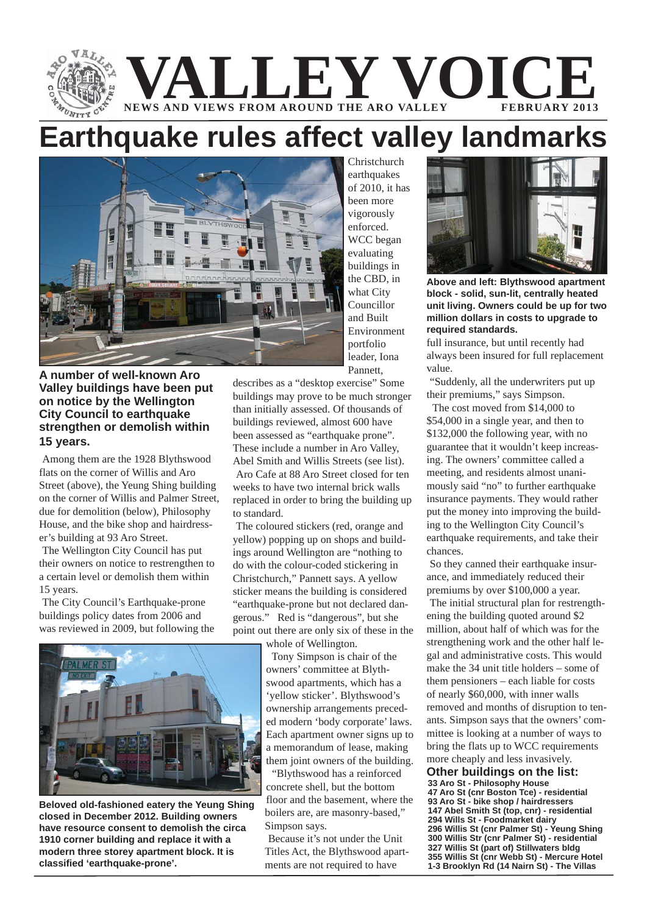

# **Earthquake rules affect valley landmarks**



Christchurch earthquakes of 2010, it has been more vigorously enforced. WCC began evaluating buildings in the CBD, in what City Councillor and Built Environment portfolio leader, Iona Pannett,

**A number of well-known Aro Valley buildings have been put on notice by the Wellington City Council to earthquake strengthen or demolish within 15 years.**

Among them are the 1928 Blythswood flats on the corner of Willis and Aro Street (above), the Yeung Shing building on the corner of Willis and Palmer Street, due for demolition (below), Philosophy House, and the bike shop and hairdresser's building at 93 Aro Street.

The Wellington City Council has put their owners on notice to restrengthen to a certain level or demolish them within 15 years.

The City Council's Earthquake-prone buildings policy dates from 2006 and was reviewed in 2009, but following the



**Beloved old-fashioned eatery the Yeung Shing closed in December 2012. Building owners have resource consent to demolish the circa 1910 corner building and replace it with a modern three storey apartment block. It is classified 'earthquake-prone'.**

describes as a "desktop exercise" Some buildings may prove to be much stronger than initially assessed. Of thousands of buildings reviewed, almost 600 have been assessed as "earthquake prone". These include a number in Aro Valley, Abel Smith and Willis Streets (see list). Aro Cafe at 88 Aro Street closed for ten weeks to have two internal brick walls replaced in order to bring the building up to standard.

The coloured stickers (red, orange and yellow) popping up on shops and buildings around Wellington are "nothing to do with the colour-coded stickering in Christchurch," Pannett says. A yellow sticker means the building is considered "earthquake-prone but not declared dangerous." Red is "dangerous", but she point out there are only six of these in the

whole of Wellington.

 Tony Simpson is chair of the owners' committee at Blythswood apartments, which has a 'yellow sticker'. Blythswood's ownership arrangements preceded modern 'body corporate' laws. Each apartment owner signs up to a memorandum of lease, making them joint owners of the building.

 "Blythswood has a reinforced concrete shell, but the bottom floor and the basement, where the boilers are, are masonry-based," Simpson says.

Because it's not under the Unit Titles Act, the Blythswood apartments are not required to have



**Above and left: Blythswood apartment block - solid, sun-lit, centrally heated unit living. Owners could be up for two million dollars in costs to upgrade to required standards.**

full insurance, but until recently had always been insured for full replacement value.

"Suddenly, all the underwriters put up their premiums," says Simpson.

 The cost moved from \$14,000 to \$54,000 in a single year, and then to \$132,000 the following year, with no guarantee that it wouldn't keep increasing. The owners' committee called a meeting, and residents almost unanimously said "no" to further earthquake insurance payments. They would rather put the money into improving the building to the Wellington City Council's earthquake requirements, and take their chances.

So they canned their earthquake insurance, and immediately reduced their premiums by over \$100,000 a year.

The initial structural plan for restrengthening the building quoted around \$2 million, about half of which was for the strengthening work and the other half legal and administrative costs. This would make the 34 unit title holders – some of them pensioners – each liable for costs of nearly \$60,000, with inner walls removed and months of disruption to tenants. Simpson says that the owners' committee is looking at a number of ways to bring the flats up to WCC requirements more cheaply and less invasively.

**Other buildings on the list: 33 Aro St - Philosophy House 47 Aro St (cnr Boston Tce) - residential 93 Aro St - bike shop / hairdressers 147 Abel Smith St (top, cnr) - residential 294 Wills St - Foodmarket dairy 296 Willis St (cnr Palmer St) - Yeung Shing 300 Willis Str (cnr Palmer St) - residential 327 Willis St (part of) Stillwaters bldg 355 Willis St (cnr Webb St) - Mercure Hotel 1-3 Brooklyn Rd (14 Nairn St) - The Villas**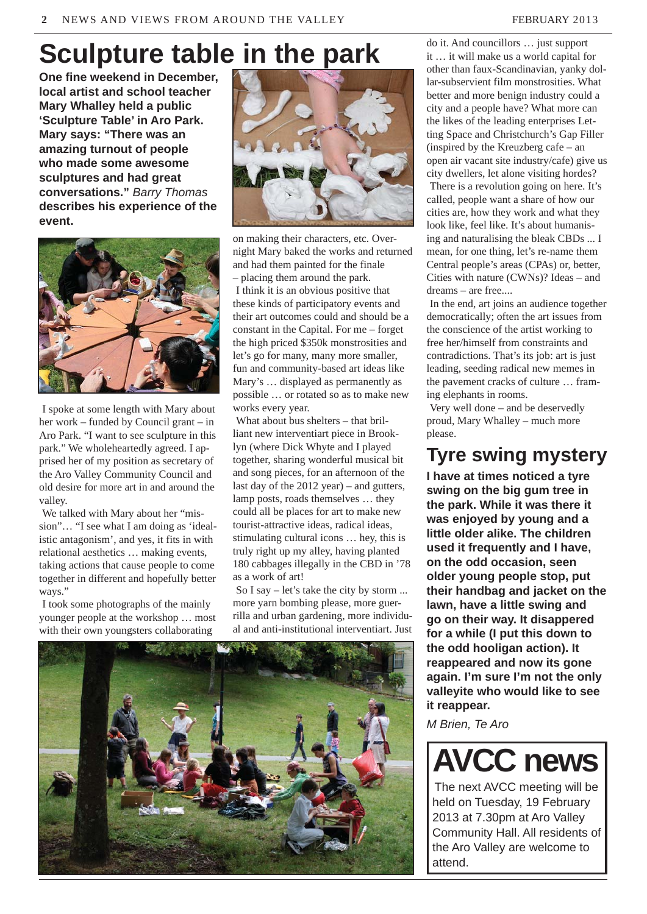# **Sculpture table in the park**

**One fine weekend in December, local artist and school teacher Mary Whalley held a public 'Sculpture Table' in Aro Park. Mary says: "There was an amazing turnout of people who made some awesome sculptures and had great conversations."** *Barry Thomas* **describes his experience of the event.**



I spoke at some length with Mary about her work – funded by Council grant – in Aro Park. "I want to see sculpture in this park." We wholeheartedly agreed. I apprised her of my position as secretary of the Aro Valley Community Council and old desire for more art in and around the valley.

We talked with Mary about her "mission"… "I see what I am doing as 'idealistic antagonism', and yes, it fits in with relational aesthetics … making events, taking actions that cause people to come together in different and hopefully better ways."

I took some photographs of the mainly younger people at the workshop … most with their own youngsters collaborating



on making their characters, etc. Overnight Mary baked the works and returned and had them painted for the finale – placing them around the park.

I think it is an obvious positive that these kinds of participatory events and their art outcomes could and should be a constant in the Capital. For me – forget the high priced \$350k monstrosities and let's go for many, many more smaller, fun and community-based art ideas like Mary's … displayed as permanently as possible … or rotated so as to make new works every year.

What about bus shelters – that brilliant new interventiart piece in Brooklyn (where Dick Whyte and I played together, sharing wonderful musical bit and song pieces, for an afternoon of the last day of the 2012 year) – and gutters, lamp posts, roads themselves … they could all be places for art to make new tourist-attractive ideas, radical ideas, stimulating cultural icons … hey, this is truly right up my alley, having planted 180 cabbages illegally in the CBD in '78 as a work of art!

So I say – let's take the city by storm ... more yarn bombing please, more guerrilla and urban gardening, more individual and anti-institutional interventiart. Just



do it. And councillors … just support it … it will make us a world capital for other than faux-Scandinavian, yanky dollar-subservient film monstrosities. What better and more benign industry could a city and a people have? What more can the likes of the leading enterprises Letting Space and Christchurch's Gap Filler (inspired by the Kreuzberg cafe – an open air vacant site industry/cafe) give us city dwellers, let alone visiting hordes?

There is a revolution going on here. It's called, people want a share of how our cities are, how they work and what they look like, feel like. It's about humanising and naturalising the bleak CBDs ... I mean, for one thing, let's re-name them Central people's areas (CPAs) or, better, Cities with nature (CWNs)? Ideas – and dreams – are free....

In the end, art joins an audience together democratically; often the art issues from the conscience of the artist working to free her/himself from constraints and contradictions. That's its job: art is just leading, seeding radical new memes in the pavement cracks of culture … framing elephants in rooms.

Very well done – and be deservedly proud, Mary Whalley – much more please.

#### **Tyre swing mystery**

**I have at times noticed a tyre swing on the big gum tree in the park. While it was there it was enjoyed by young and a little older alike. The children used it frequently and I have, on the odd occasion, seen older young people stop, put their handbag and jacket on the lawn, have a little swing and go on their way. It disappered for a while (I put this down to the odd hooligan action). It reappeared and now its gone again. I'm sure I'm not the only valleyite who would like to see it reappear.**

*M Brien, Te Aro*



The next AVCC meeting will be held on Tuesday, 19 February 2013 at 7.30pm at Aro Valley Community Hall. All residents of the Aro Valley are welcome to attend.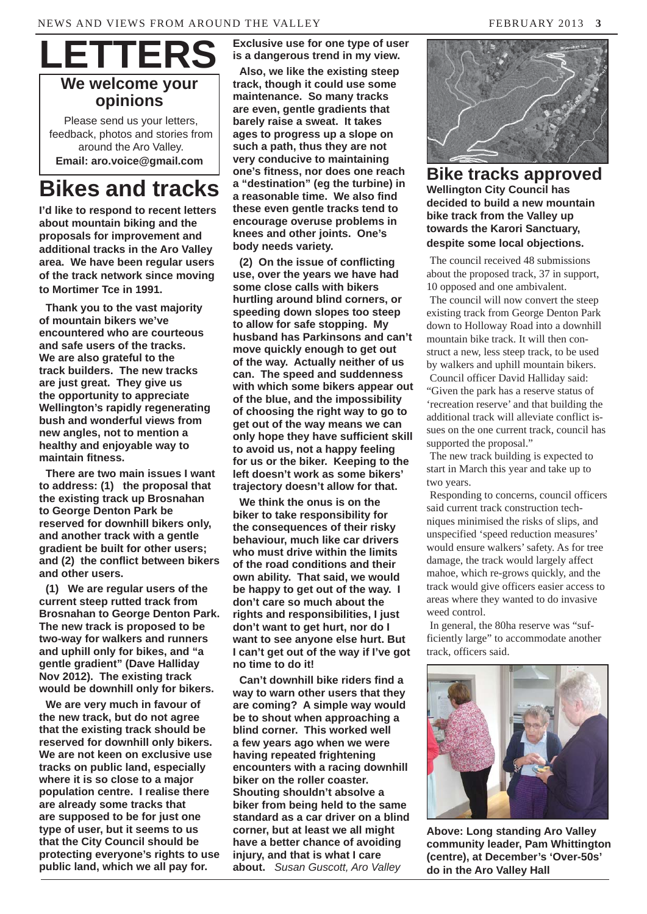

**opinions**

Please send us your letters, feedback, photos and stories from around the Aro Valley. **Email: aro.voice@gmail.com**

## **Bikes and tracks**

**I'd like to respond to recent letters about mountain biking and the proposals for improvement and additional tracks in the Aro Valley area. We have been regular users of the track network since moving to Mortimer Tce in 1991.**

**Thank you to the vast majority of mountain bikers we've encountered who are courteous and safe users of the tracks. We are also grateful to the track builders. The new tracks are just great. They give us the opportunity to appreciate Wellington's rapidly regenerating bush and wonderful views from new angles, not to mention a healthy and enjoyable way to maintain fitness.**

**There are two main issues I want to address: (1) the proposal that the existing track up Brosnahan to George Denton Park be reserved for downhill bikers only, and another track with a gentle gradient be built for other users; and (2) the conflict between bikers and other users.**

**(1) We are regular users of the current steep rutted track from Brosnahan to George Denton Park. The new track is proposed to be two-way for walkers and runners and uphill only for bikes, and "a gentle gradient" (Dave Halliday Nov 2012). The existing track would be downhill only for bikers.** 

**We are very much in favour of the new track, but do not agree that the existing track should be reserved for downhill only bikers. We are not keen on exclusive use tracks on public land, especially where it is so close to a major population centre. I realise there are already some tracks that are supposed to be for just one type of user, but it seems to us that the City Council should be protecting everyone's rights to use public land, which we all pay for.** 

**Exclusive use for one type of user is a dangerous trend in my view.** 

**Also, we like the existing steep track, though it could use some maintenance. So many tracks are even, gentle gradients that barely raise a sweat. It takes ages to progress up a slope on such a path, thus they are not very conducive to maintaining one's fitness, nor does one reach a "destination" (eg the turbine) in a reasonable time. We also find these even gentle tracks tend to encourage overuse problems in knees and other joints. One's body needs variety.**

**(2) On the issue of conflicting use, over the years we have had some close calls with bikers hurtling around blind corners, or speeding down slopes too steep to allow for safe stopping. My husband has Parkinsons and can't move quickly enough to get out of the way. Actually neither of us can. The speed and suddenness with which some bikers appear out of the blue, and the impossibility of choosing the right way to go to get out of the way means we can only hope they have sufficient skill to avoid us, not a happy feeling for us or the biker. Keeping to the left doesn't work as some bikers' trajectory doesn't allow for that.**

**We think the onus is on the biker to take responsibility for the consequences of their risky behaviour, much like car drivers who must drive within the limits of the road conditions and their own ability. That said, we would be happy to get out of the way. I don't care so much about the rights and responsibilities, I just don't want to get hurt, nor do I want to see anyone else hurt. But I can't get out of the way if I've got no time to do it!** 

**Can't downhill bike riders find a way to warn other users that they are coming? A simple way would be to shout when approaching a blind corner. This worked well a few years ago when we were having repeated frightening encounters with a racing downhill biker on the roller coaster. Shouting shouldn't absolve a biker from being held to the same standard as a car driver on a blind corner, but at least we all might have a better chance of avoiding injury, and that is what I care about.** *Susan Guscott, Aro Valley*



**Bike tracks approved Wellington City Council has decided to build a new mountain bike track from the Valley up towards the Karori Sanctuary, despite some local objections.**

The council received 48 submissions about the proposed track, 37 in support, 10 opposed and one ambivalent.

The council will now convert the steep existing track from George Denton Park down to Holloway Road into a downhill mountain bike track. It will then construct a new, less steep track, to be used by walkers and uphill mountain bikers. Council officer David Halliday said: "Given the park has a reserve status of 'recreation reserve' and that building the additional track will alleviate conflict issues on the one current track, council has supported the proposal."

The new track building is expected to start in March this year and take up to two years.

Responding to concerns, council officers said current track construction techniques minimised the risks of slips, and unspecified 'speed reduction measures' would ensure walkers' safety. As for tree damage, the track would largely affect mahoe, which re-grows quickly, and the track would give officers easier access to areas where they wanted to do invasive weed control.

In general, the 80ha reserve was "sufficiently large" to accommodate another track, officers said.



**Above: Long standing Aro Valley community leader, Pam Whittington (centre), at December's 'Over-50s' do in the Aro Valley Hall**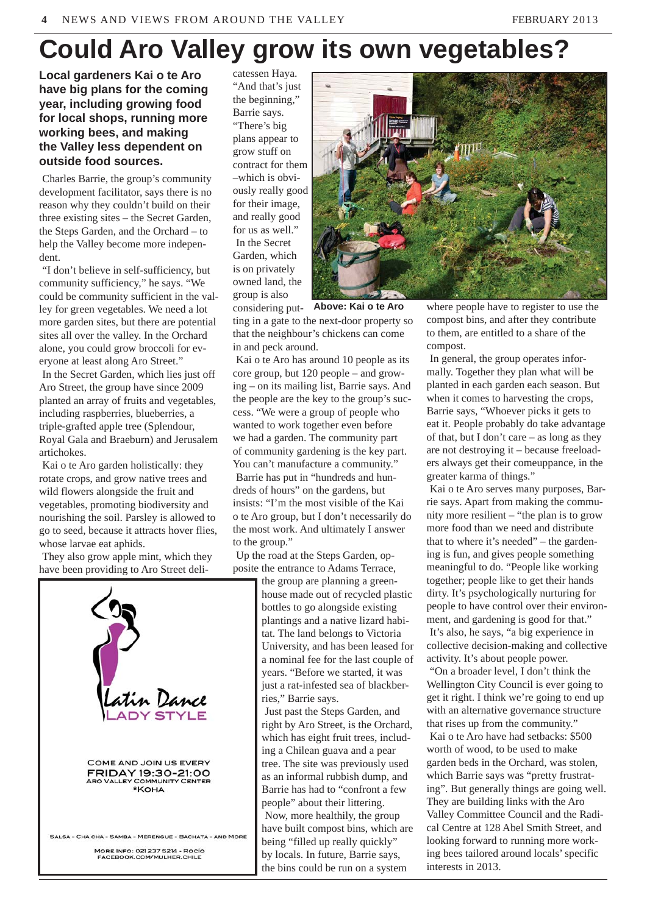## **Could Aro Valley grow its own vegetables?**

**Local gardeners Kai o te Aro have big plans for the coming year, including growing food for local shops, running more working bees, and making the Valley less dependent on outside food sources.**

Charles Barrie, the group's community development facilitator, says there is no reason why they couldn't build on their three existing sites – the Secret Garden, the Steps Garden, and the Orchard – to help the Valley become more independent.

"I don't believe in self-sufficiency, but community sufficiency," he says. "We could be community sufficient in the valley for green vegetables. We need a lot more garden sites, but there are potential sites all over the valley. In the Orchard alone, you could grow broccoli for everyone at least along Aro Street."

In the Secret Garden, which lies just off Aro Street, the group have since 2009 planted an array of fruits and vegetables, including raspberries, blueberries, a triple-grafted apple tree (Splendour, Royal Gala and Braeburn) and Jerusalem artichokes.

Kai o te Aro garden holistically: they rotate crops, and grow native trees and wild flowers alongside the fruit and vegetables, promoting biodiversity and nourishing the soil. Parsley is allowed to go to seed, because it attracts hover flies, whose larvae eat aphids.

They also grow apple mint, which they have been providing to Aro Street deli-



catessen Haya. "And that's just the beginning," Barrie says. "There's big plans appear to grow stuff on contract for them –which is obviously really good for their image, and really good for us as well." In the Secret Garden, which is on privately owned land, the group is also



considering putting in a gate to the next-door property so that the neighbour's chickens can come in and peck around. **Above: Kai o te Aro**

Kai o te Aro has around 10 people as its core group, but 120 people – and growing – on its mailing list, Barrie says. And the people are the key to the group's success. "We were a group of people who wanted to work together even before we had a garden. The community part of community gardening is the key part. You can't manufacture a community." Barrie has put in "hundreds and hundreds of hours" on the gardens, but insists: "I'm the most visible of the Kai o te Aro group, but I don't necessarily do the most work. And ultimately I answer to the group."

Up the road at the Steps Garden, opposite the entrance to Adams Terrace,

the group are planning a greenhouse made out of recycled plastic bottles to go alongside existing plantings and a native lizard habitat. The land belongs to Victoria University, and has been leased for a nominal fee for the last couple of years. "Before we started, it was just a rat-infested sea of blackberries," Barrie says.

Just past the Steps Garden, and right by Aro Street, is the Orchard, which has eight fruit trees, including a Chilean guava and a pear tree. The site was previously used as an informal rubbish dump, and Barrie has had to "confront a few people" about their littering. Now, more healthily, the group have built compost bins, which are being "filled up really quickly" by locals. In future, Barrie says, the bins could be run on a system

where people have to register to use the compost bins, and after they contribute to them, are entitled to a share of the compost.

In general, the group operates informally. Together they plan what will be planted in each garden each season. But when it comes to harvesting the crops, Barrie says, "Whoever picks it gets to eat it. People probably do take advantage of that, but I don't care – as long as they are not destroying it – because freeloaders always get their comeuppance, in the greater karma of things."

Kai o te Aro serves many purposes, Barrie says. Apart from making the community more resilient – "the plan is to grow more food than we need and distribute that to where it's needed" – the gardening is fun, and gives people something meaningful to do. "People like working together; people like to get their hands dirty. It's psychologically nurturing for people to have control over their environment, and gardening is good for that." It's also, he says, "a big experience in collective decision-making and collective activity. It's about people power.

"On a broader level, I don't think the Wellington City Council is ever going to get it right. I think we're going to end up with an alternative governance structure that rises up from the community." Kai o te Aro have had setbacks: \$500 worth of wood, to be used to make garden beds in the Orchard, was stolen, which Barrie says was "pretty frustrating". But generally things are going well. They are building links with the Aro Valley Committee Council and the Radical Centre at 128 Abel Smith Street, and looking forward to running more working bees tailored around locals' specific interests in 2013.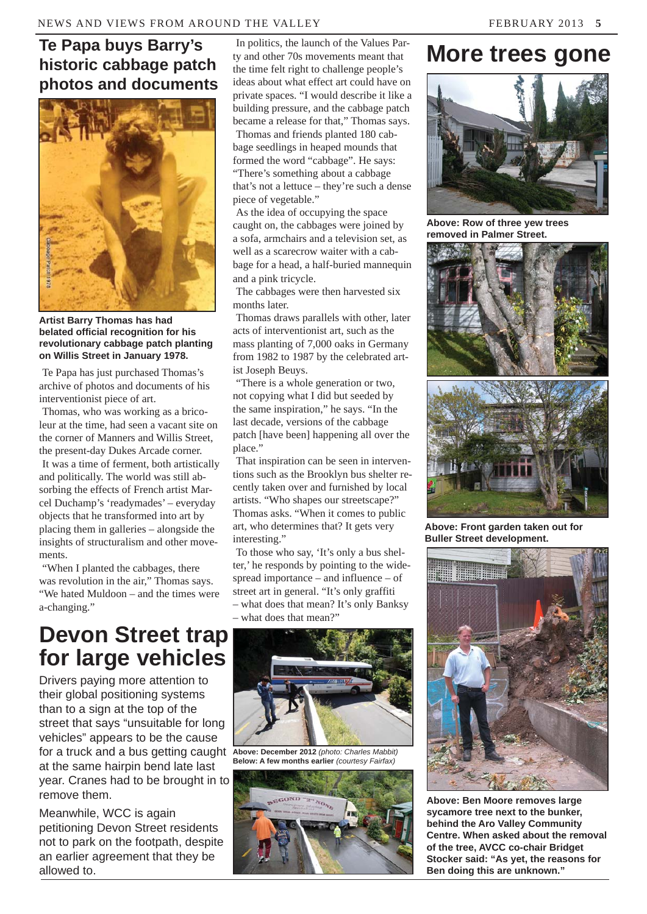#### **Te Papa buys Barry's historic cabbage patch photos and documents**



**Artist Barry Thomas has had belated official recognition for his revolutionary cabbage patch planting on Willis Street in January 1978.**

Te Papa has just purchased Thomas's archive of photos and documents of his interventionist piece of art.

Thomas, who was working as a bricoleur at the time, had seen a vacant site on the corner of Manners and Willis Street, the present-day Dukes Arcade corner.

It was a time of ferment, both artistically and politically. The world was still absorbing the effects of French artist Marcel Duchamp's 'readymades' – everyday objects that he transformed into art by placing them in galleries – alongside the insights of structuralism and other movements.

"When I planted the cabbages, there was revolution in the air," Thomas says. "We hated Muldoon – and the times were a-changing."

In politics, the launch of the Values Party and other 70s movements meant that the time felt right to challenge people's ideas about what effect art could have on private spaces. "I would describe it like a building pressure, and the cabbage patch became a release for that," Thomas says.

Thomas and friends planted 180 cabbage seedlings in heaped mounds that formed the word "cabbage". He says: "There's something about a cabbage that's not a lettuce – they're such a dense piece of vegetable."

As the idea of occupying the space caught on, the cabbages were joined by a sofa, armchairs and a television set, as well as a scarecrow waiter with a cabbage for a head, a half-buried mannequin and a pink tricycle.

The cabbages were then harvested six months later.

Thomas draws parallels with other, later acts of interventionist art, such as the mass planting of 7,000 oaks in Germany from 1982 to 1987 by the celebrated artist Joseph Beuys.

"There is a whole generation or two, not copying what I did but seeded by the same inspiration," he says. "In the last decade, versions of the cabbage patch [have been] happening all over the place."

That inspiration can be seen in interventions such as the Brooklyn bus shelter recently taken over and furnished by local artists. "Who shapes our streetscape?" Thomas asks. "When it comes to public art, who determines that? It gets very interesting."

To those who say, 'It's only a bus shelter,' he responds by pointing to the widespread importance – and influence – of street art in general. "It's only graffiti – what does that mean? It's only Banksy – what does that mean?"

### **Devon Street trap for large vehicles**

for a truck and a bus getting caught Above: December 2012 (photo: Charles Mabbit) Drivers paying more attention to their global positioning systems than to a sign at the top of the street that says "unsuitable for long vehicles" appears to be the cause at the same hairpin bend late last year. Cranes had to be brought in to remove them.

Meanwhile, WCC is again petitioning Devon Street residents not to park on the footpath, despite an earlier agreement that they be allowed to.



**Below: A few months earlier** *(courtesy Fairfax)*



## **More trees gone**



**Above: Row of three yew trees removed in Palmer Street.** 





**Above: Front garden taken out for Buller Street development.**



**Above: Ben Moore removes large sycamore tree next to the bunker, behind the Aro Valley Community Centre. When asked about the removal of the tree, AVCC co-chair Bridget Stocker said: "As yet, the reasons for Ben doing this are unknown."**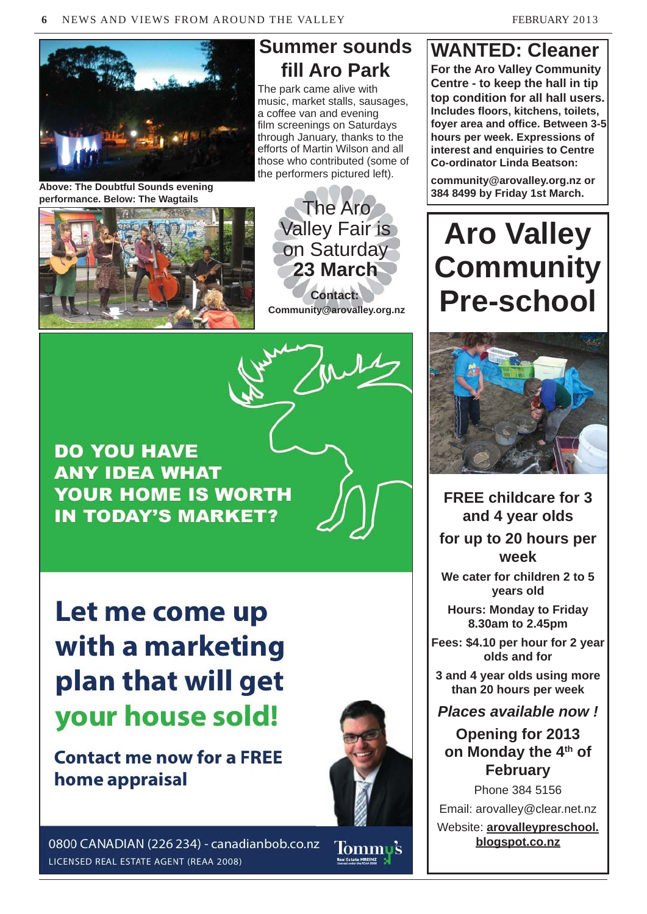

**Above: The Doubtful Sounds evening performance. Below: The Wagtails**



#### **Summer sounds fill Aro Park**

The park came alive with music, market stalls, sausages, a coffee van and evening film screenings on Saturdays through January, thanks to the efforts of Martin Wilson and all those who contributed (some of the performers pictured left).





Let me come up with a marketing plan that will get your house sold!

**Contact me now for a FREE** home appraisal



0800 CANADIAN (226 234) - canadianbob.co.nz LICENSED REAL ESTATE AGENT (REAA 2008)

Tommu's **Real Estate MREINZ** 

### **WANTED: Cleaner**

**For the Aro Valley Community Centre - to keep the hall in tip top condition for all hall users. Includes floors, kitchens, toilets, foyer area and office. Between 3-5 hours per week. Expressions of interest and enquiries to Centre Co-ordinator Linda Beatson:**

**community@arovalley.org.nz or 384 8499 by Friday 1st March.**

# **Aro Valley Community Pre-school**



**FREE childcare for 3 and 4 year olds for up to 20 hours per week**

**We cater for children 2 to 5 years old**

**Hours: Monday to Friday 8.30am to 2.45pm**

**Fees: \$4.10 per hour for 2 year olds and for** 

**3 and 4 year olds using more than 20 hours per week**

*Places available now !*

**Opening for 2013 on Monday the 4th of February**

Phone 384 5156 Email: arovalley@clear.net.nz Website: **arovalleypreschool. blogspot.co.nz**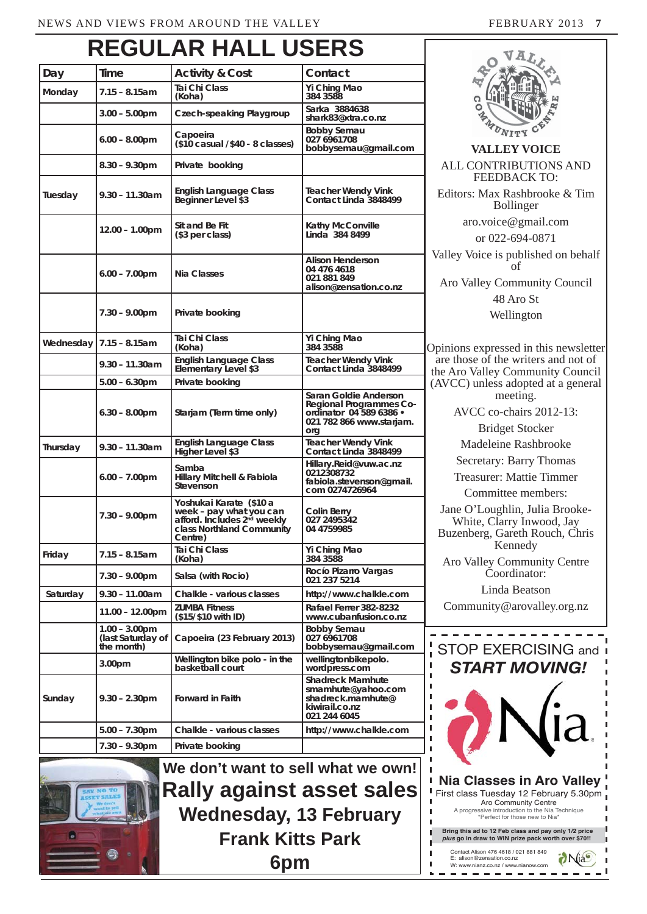## **REGULAR HALL USERS**

| Day       | Time                                                | <b>Activity &amp; Cost</b>                                                                                                            | Contact                                                                                                        |
|-----------|-----------------------------------------------------|---------------------------------------------------------------------------------------------------------------------------------------|----------------------------------------------------------------------------------------------------------------|
| Monday    | 7.15 - 8.15am                                       | Tai Chi Class                                                                                                                         | Yi Ching Mao                                                                                                   |
|           |                                                     | (Koha)                                                                                                                                | 384 3588<br>Sarka 3884638                                                                                      |
|           | 3.00 – 5.00pm                                       | Czech-speaking Playgroup                                                                                                              | shark83@xtra.co.nz                                                                                             |
|           | $6.00 - 8.00$ pm                                    | Capoeira<br>$($10 \text{ casual }$ / $$40 - 8 \text{ classes}$ )                                                                      | Bobby Semau<br>027 6961708<br>bobbysemau@gmail.com                                                             |
|           | $8.30 - 9.30$ pm                                    | Private booking                                                                                                                       |                                                                                                                |
| Tuesday   | $9.30 - 11.30$ am                                   | <b>English Language Class</b><br>Beginner Level \$3                                                                                   | Teacher Wendy Vink<br>Contact Linda 3848499                                                                    |
|           | 12.00 - 1.00pm                                      | Sit and Be Fit<br>(\$3 per class)                                                                                                     | Kathy McConville<br>Linda 384 8499                                                                             |
|           | $6.00 - 7.00$ pm                                    | <b>Nia Classes</b>                                                                                                                    | Alison Henderson<br>04 476 4618<br>021 881 849<br>alison@zensation.co.nz                                       |
|           | 7.30 - 9.00pm                                       | Private booking                                                                                                                       |                                                                                                                |
| Wednesday | $7.15 - 8.15$ am                                    | Tai Chi Class<br>(Koha)                                                                                                               | Yi Ching Mao<br>384 3588                                                                                       |
|           | $9.30 - 11.30$ am                                   | <b>English Language Class</b><br>Elementary Level \$3                                                                                 | <b>Teacher Wendy Vink</b><br>Contact Linda 3848499                                                             |
|           | $5.00 - 6.30$ pm                                    | Private booking                                                                                                                       |                                                                                                                |
|           | $6.30 - 8.00$ pm                                    | Starjam (Term time only)                                                                                                              | Saran Goldie Anderson<br>Regional Programmes Co-<br>ordinator 04 589 6386 •<br>021 782 866 www.starjam.<br>org |
| Thursday  | $9.30 - 11.30$ am                                   | English Language Class<br>Higher Level \$3                                                                                            | Teacher Wendy Vink<br>Contact Linda 3848499                                                                    |
|           | $6.00 - 7.00$ pm                                    | Samba<br>Hillary Mitchell & Fabiola<br>Stevenson                                                                                      | Hillary.Reid@vuw.ac.nz<br>0212308732<br>fabiola.stevenson@gmail.<br>com 0274726964                             |
|           | 7.30 - 9.00pm                                       | Yoshukai Karate (\$10 a<br>week - pay what you can<br>afford. Includes 2 <sup>nd</sup> weekly<br>class Northland Community<br>Centre) | Colin Berry<br>027 2495342<br>04 4759985                                                                       |
| Friday    | 7.15 – 8.15am                                       | Tai Chi Class<br>(Koha)                                                                                                               | Yi Ching Mao<br>384 3588                                                                                       |
|           | $7.30 - 9.00$ pm                                    | Salsa (with Rocio)                                                                                                                    | Rocío Pizarro Vargas<br>021 237 5214                                                                           |
| Saturday  | $9.30 - 11.00$ am                                   | Chalkle - various classes                                                                                                             | http://www.chalkle.com                                                                                         |
|           | $11.00 - 12.00 \text{pm}$                           | <b>ZUMBA Fitness</b><br>(\$15/\$10 with ID)                                                                                           | Rafael Ferrer 382-8232<br>www.cubanfusion.co.nz                                                                |
|           | $1.00 - 3.00$ pm<br>(last Saturday of<br>the month) | Capoeira (23 February 2013)                                                                                                           | <b>Bobby Semau</b><br>027 6961708<br>bobbysemau@gmail.com                                                      |
|           | 3.00 <sub>pm</sub>                                  | Wellington bike polo - in the<br>basketball court                                                                                     | wellingtonbikepolo.<br>wordpress.com                                                                           |
| Sunday    | 9.30 – 2.30pm                                       | Forward in Faith                                                                                                                      | <b>Shadreck Mamhute</b><br>smamhute@yahoo.com<br>shadreck.mamhute@<br>kiwirail.co.nz<br>021 244 6045           |
|           | 5.00 – 7.30pm                                       | Chalkle - various classes                                                                                                             | http://www.chalkle.com                                                                                         |
|           | $7.30 - 9.30$ pm                                    | Private booking                                                                                                                       |                                                                                                                |

**We don't want to sell what we own! Rally against asset sales Wednesday, 13 February Frank Kitts Park 6pm**





**VALLEY VOICE** ALL CONTRIBUTIONS AND FEEDBACK TO: Editors: Max Rashbrooke & Tim Bollinger aro.voice@gmail.com or 022-694-0871 Valley Voice is published on behalf of Aro Valley Community Council 48 Aro St Wellington Opinions expressed in this newsletter are those of the writers and not of the Aro Valley Community Council (AVCC) unless adopted at a general meeting. AVCC co-chairs 2012-13: Bridget Stocker Madeleine Rashbrooke Secretary: Barry Thomas Treasurer: Mattie Timmer

Committee members:

Jane O'Loughlin, Julia Brooke-White, Clarry Inwood, Jay Buzenberg, Gareth Rouch, Chris Kennedy

Aro Valley Community Centre Coordinator:

Linda Beatson Community@arovalley.org.nz



Ï I  $\blacksquare$  $\blacksquare$ п  $\overline{1}$ 

J.  $\mathbf{r}$